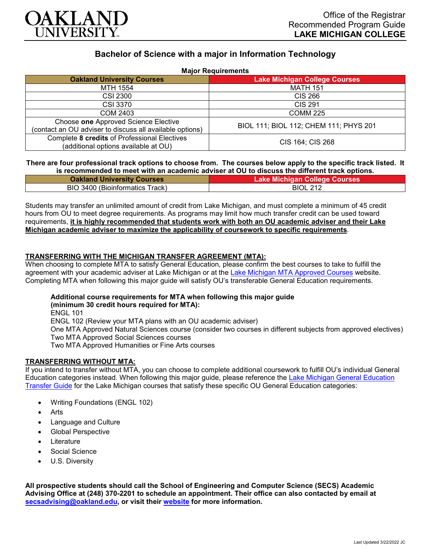

# **Bachelor of Science with a major in Information Technology**

| <b>Major Requirements</b> |
|---------------------------|
|---------------------------|

| <b>MADI REQUIPTING</b>                                                                           |                                        |
|--------------------------------------------------------------------------------------------------|----------------------------------------|
| <b>Oakland University Courses</b>                                                                | <b>Lake Michigan College Courses</b>   |
| MTH 1554                                                                                         | <b>MATH 151</b>                        |
| <b>CSI 2300</b>                                                                                  | CIS 266                                |
| <b>CSI 3370</b>                                                                                  | <b>CIS 291</b>                         |
| COM 2403                                                                                         | <b>COMM 225</b>                        |
| Choose one Approved Science Elective<br>(contact an OU adviser to discuss all available options) | BIOL 111; BIOL 112; CHEM 111; PHYS 201 |
| Complete 8 credits of Professional Electives<br>(additional options available at OU)             | CIS 164; CIS 268                       |

### **There are four professional track options to choose from. The courses below apply to the specific track listed. It is recommended to meet with an academic adviser at OU to discuss the different track options.**

| <b>Oakland University Courses</b> | <b>Lake Michigan College Courses</b> |
|-----------------------------------|--------------------------------------|
| BIO 3400 (Bioinformatics Track)   | <b>BIOL 212</b>                      |

Students may transfer an unlimited amount of credit from Lake Michigan, and must complete a minimum of 45 credit hours from OU to meet degree requirements. As programs may limit how much transfer credit can be used toward requirements, **it is highly recommended that students work with both an OU academic adviser and their Lake Michigan academic adviser to maximize the applicability of coursework to specific requirements**.

# **TRANSFERRING WITH THE MICHIGAN TRANSFER AGREEMENT (MTA):**

When choosing to complete MTA to satisfy General Education, please confirm the best courses to take to fulfill the agreement with your academic adviser at Lake Michigan or at the [Lake Michigan MTA Approved Courses](https://www.lakemichigancollege.edu/academics/educational-goals/transfer/transfer-information) website. Completing MTA when following this major guide will satisfy OU's transferable General Education requirements.

#### **Additional course requirements for MTA when following this major guide (minimum 30 credit hours required for MTA):**

ENGL 101 ENGL 102 (Review your MTA plans with an OU academic adviser) One MTA Approved Natural Sciences course (consider two courses in different subjects from approved electives) Two MTA Approved Social Sciences courses Two MTA Approved Humanities or Fine Arts courses

# **TRANSFERRING WITHOUT MTA:**

If you intend to transfer without MTA, you can choose to complete additional coursework to fulfill OU's individual General Education categories instead. When following this major guide, please reference the [Lake Michigan General Education](https://www.oakland.edu/Assets/Oakland/program-guides/lake-michigan-college/university-general-education-requirements/Lake%20Michigan%20Gen%20Ed.pdf)  [Transfer Guide](https://www.oakland.edu/Assets/Oakland/program-guides/lake-michigan-college/university-general-education-requirements/Lake%20Michigan%20Gen%20Ed.pdf) for the Lake Michigan courses that satisfy these specific OU General Education categories:

- Writing Foundations (ENGL 102)
- **Arts**
- Language and Culture
- Global Perspective
- **Literature**
- Social Science
- U.S. Diversity

**All prospective students should call the School of Engineering and Computer Science (SECS) Academic Advising Office at (248) 370-2201 to schedule an appointment. Their office can also contacted by email at [secsadvising@oakland.edu,](mailto:secsadvising@oakland.edu) or visit their [website](https://wwwp.oakland.edu/secs/advising/) for more information.**